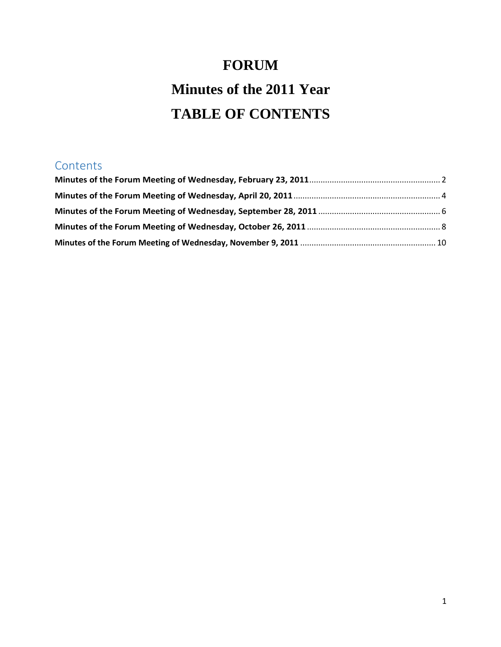# **FORUM Minutes of the 2011 Year TABLE OF CONTENTS**

# **Contents**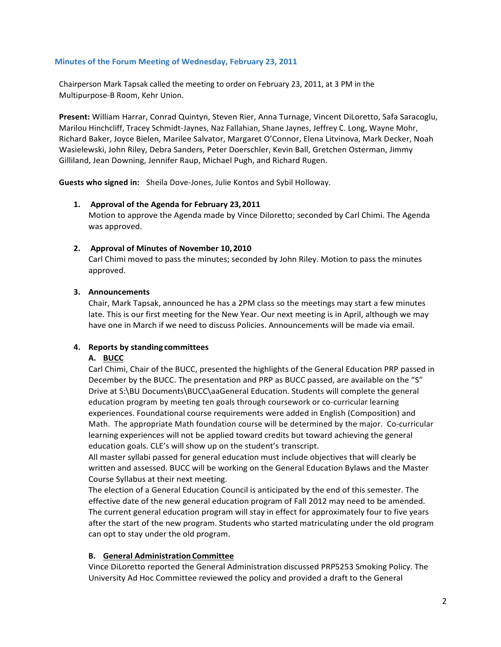#### <span id="page-1-0"></span>**Minutes of the Forum Meeting of Wednesday, February 23, 2011**

Chairperson Mark Tapsak called the meeting to order on February 23, 2011, at 3 PM in the Multipurpose-B Room, Kehr Union.

**Present:** William Harrar, Conrad Quintyn, Steven Rier, Anna Turnage, Vincent DiLoretto, Safa Saracoglu, Marilou Hinchcliff, Tracey Schmidt-Jaynes, Naz Fallahian, Shane Jaynes, Jeffrey C. Long, Wayne Mohr, Richard Baker, Joyce Bielen, Marilee Salvator, Margaret O'Connor, Elena Litvinova, Mark Decker, Noah Wasielewski, John Riley, Debra Sanders, Peter Doerschler, Kevin Ball, Gretchen Osterman, Jimmy Gilliland, Jean Downing, Jennifer Raup, Michael Pugh, and Richard Rugen.

**Guests who signed in:** Sheila Dove-Jones, Julie Kontos and Sybil Holloway.

# **1. Approval of the Agenda for February 23,2011**

Motion to approve the Agenda made by Vince Diloretto; seconded by Carl Chimi. The Agenda was approved.

# **2. Approval of Minutes of November 10,2010**

Carl Chimi moved to pass the minutes; seconded by John Riley. Motion to pass the minutes approved.

# **3. Announcements**

Chair, Mark Tapsak, announced he has a 2PM class so the meetings may start a few minutes late. This is our first meeting for the New Year. Our next meeting is in April, although we may have one in March if we need to discuss Policies. Announcements will be made via email.

# **4. Reports by standing committees**

# **A. BUCC**

Carl Chimi, Chair of the BUCC, presented the highlights of the General Education PRP passed in December by the BUCC. The presentation and PRP as BUCC passed, are available on the "S" Drive at S:\BU Documents\BUCC\aaGeneral Education. Students will complete the general education program by meeting ten goals through coursework or co-curricular learning experiences. Foundational course requirements were added in English (Composition) and Math. The appropriate Math foundation course will be determined by the major. Co-curricular learning experiences will not be applied toward credits but toward achieving the general education goals. CLE's will show up on the student's transcript.

All master syllabi passed for general education must include objectives that will clearly be written and assessed. BUCC will be working on the General Education Bylaws and the Master Course Syllabus at their next meeting.

The election of a General Education Council is anticipated by the end of this semester. The effective date of the new general education program of Fall 2012 may need to be amended. The current general education program will stay in effect for approximately four to five years after the start of the new program. Students who started matriculating under the old program can opt to stay under the old program.

#### **B. General Administration Committee**

Vince DiLoretto reported the General Administration discussed PRP5253 Smoking Policy. The University Ad Hoc Committee reviewed the policy and provided a draft to the General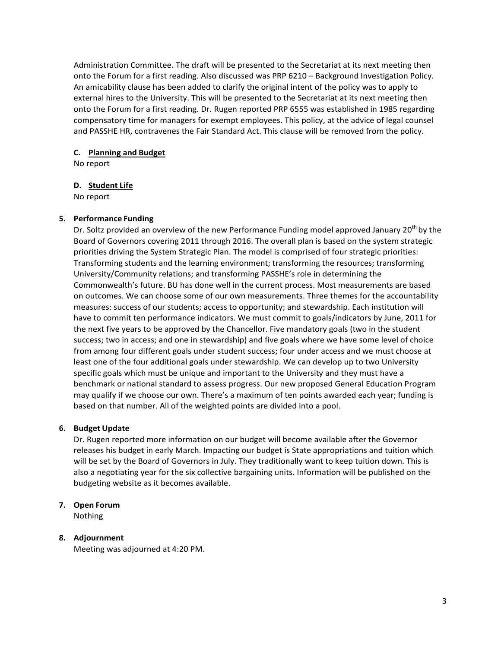Administration Committee. The draft will be presented to the Secretariat at its next meeting then onto the Forum for a first reading. Also discussed was PRP 6210 – Background Investigation Policy. An amicability clause has been added to clarify the original intent of the policy was to apply to external hires to the University. This will be presented to the Secretariat at its next meeting then onto the Forum for a first reading. Dr. Rugen reported PRP 6555 was established in 1985 regarding compensatory time for managers for exempt employees. This policy, at the advice of legal counsel and PASSHE HR, contravenes the Fair Standard Act. This clause will be removed from the policy.

# **C. Planning and Budget**

No report

# **D. Student Life**

No report

# **5. Performance Funding**

Dr. Soltz provided an overview of the new Performance Funding model approved January 20<sup>th</sup> by the Board of Governors covering 2011 through 2016. The overall plan is based on the system strategic priorities driving the System Strategic Plan. The model is comprised of four strategic priorities: Transforming students and the learning environment; transforming the resources; transforming University/Community relations; and transforming PASSHE's role in determining the Commonwealth's future. BU has done well in the current process. Most measurements are based on outcomes. We can choose some of our own measurements. Three themes for the accountability measures: success of our students; access to opportunity; and stewardship. Each institution will have to commit ten performance indicators. We must commit to goals/indicators by June, 2011 for the next five years to be approved by the Chancellor. Five mandatory goals (two in the student success; two in access; and one in stewardship) and five goals where we have some level of choice from among four different goals under student success; four under access and we must choose at least one of the four additional goals under stewardship. We can develop up to two University specific goals which must be unique and important to the University and they must have a benchmark or national standard to assess progress. Our new proposed General Education Program may qualify if we choose our own. There's a maximum of ten points awarded each year; funding is based on that number. All of the weighted points are divided into a pool.

# **6. Budget Update**

Dr. Rugen reported more information on our budget will become available after the Governor releases his budget in early March. Impacting our budget is State appropriations and tuition which will be set by the Board of Governors in July. They traditionally want to keep tuition down. This is also a negotiating year for the six collective bargaining units. Information will be published on the budgeting website as it becomes available.

# **7. Open Forum**

Nothing

# **8. Adjournment**

Meeting was adjourned at 4:20 PM.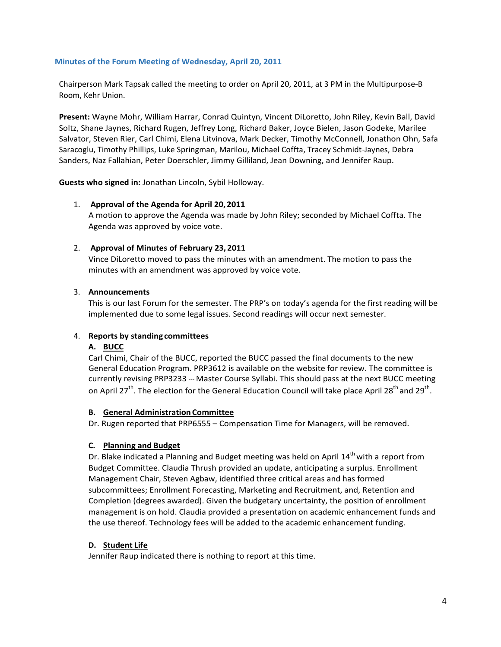#### <span id="page-3-0"></span>**Minutes of the Forum Meeting of Wednesday, April 20, 2011**

Chairperson Mark Tapsak called the meeting to order on April 20, 2011, at 3 PM in the Multipurpose-B Room, Kehr Union.

**Present:** Wayne Mohr, William Harrar, Conrad Quintyn, Vincent DiLoretto, John Riley, Kevin Ball, David Soltz, Shane Jaynes, Richard Rugen, Jeffrey Long, Richard Baker, Joyce Bielen, Jason Godeke, Marilee Salvator, Steven Rier, Carl Chimi, Elena Litvinova, Mark Decker, Timothy McConnell, Jonathon Ohn, Safa Saracoglu, Timothy Phillips, Luke Springman, Marilou, Michael Coffta, Tracey Schmidt-Jaynes, Debra Sanders, Naz Fallahian, Peter Doerschler, Jimmy Gilliland, Jean Downing, and Jennifer Raup.

**Guests who signed in:** Jonathan Lincoln, Sybil Holloway.

# 1. **Approval of the Agenda for April 20, 2011**

A motion to approve the Agenda was made by John Riley; seconded by Michael Coffta. The Agenda was approved by voice vote.

# 2. **Approval of Minutes of February 23, 2011**

Vince DiLoretto moved to pass the minutes with an amendment. The motion to pass the minutes with an amendment was approved by voice vote.

# 3. **Announcements**

This is our last Forum for the semester. The PRP's on today's agenda for the first reading will be implemented due to some legal issues. Second readings will occur next semester.

# 4. **Reports by standing committees**

#### **A. BUCC**

Carl Chimi, Chair of the BUCC, reported the BUCC passed the final documents to the new General Education Program. PRP3612 is available on the website for review. The committee is currently revising PRP3233 --- Master Course Syllabi. This should pass at the next BUCC meeting on April 27<sup>th</sup>. The election for the General Education Council will take place April 28<sup>th</sup> and 29<sup>th</sup>.

#### **B. General Administration Committee**

Dr. Rugen reported that PRP6555 – Compensation Time for Managers, will be removed.

# **C. Planning and Budget**

Dr. Blake indicated a Planning and Budget meeting was held on April 14<sup>th</sup> with a report from Budget Committee. Claudia Thrush provided an update, anticipating a surplus. Enrollment Management Chair, Steven Agbaw, identified three critical areas and has formed subcommittees; Enrollment Forecasting, Marketing and Recruitment, and, Retention and Completion (degrees awarded). Given the budgetary uncertainty, the position of enrollment management is on hold. Claudia provided a presentation on academic enhancement funds and the use thereof. Technology fees will be added to the academic enhancement funding.

# **D. Student Life**

Jennifer Raup indicated there is nothing to report at this time.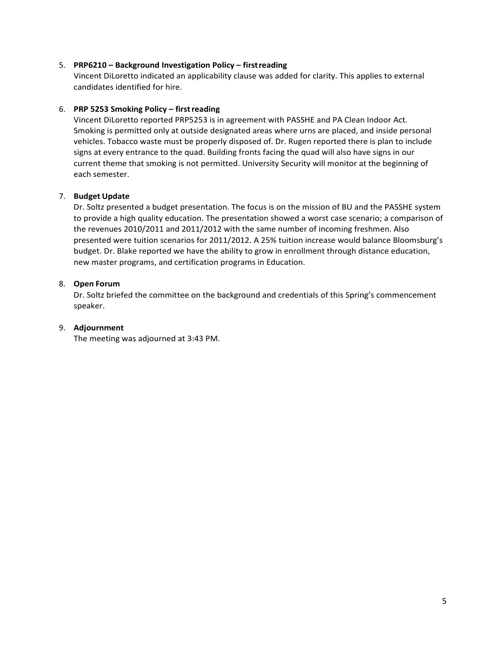# 5. **PRP6210 – Background Investigation Policy – firstreading**

Vincent DiLoretto indicated an applicability clause was added for clarity. This applies to external candidates identified for hire.

# 6. **PRP 5253 Smoking Policy – firstreading**

Vincent DiLoretto reported PRP5253 is in agreement with PASSHE and PA Clean Indoor Act. Smoking is permitted only at outside designated areas where urns are placed, and inside personal vehicles. Tobacco waste must be properly disposed of. Dr. Rugen reported there is plan to include signs at every entrance to the quad. Building fronts facing the quad will also have signs in our current theme that smoking is not permitted. University Security will monitor at the beginning of each semester.

# 7. **Budget Update**

Dr. Soltz presented a budget presentation. The focus is on the mission of BU and the PASSHE system to provide a high quality education. The presentation showed a worst case scenario; a comparison of the revenues 2010/2011 and 2011/2012 with the same number of incoming freshmen. Also presented were tuition scenarios for 2011/2012. A 25% tuition increase would balance Bloomsburg's budget. Dr. Blake reported we have the ability to grow in enrollment through distance education, new master programs, and certification programs in Education.

# 8. **Open Forum**

Dr. Soltz briefed the committee on the background and credentials of this Spring's commencement speaker.

# 9. **Adjournment**

The meeting was adjourned at 3:43 PM.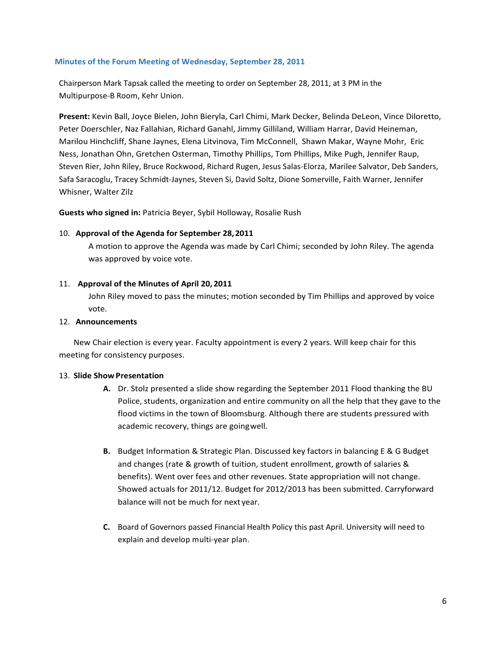#### <span id="page-5-0"></span>**Minutes of the Forum Meeting of Wednesday, September 28, 2011**

Chairperson Mark Tapsak called the meeting to order on September 28, 2011, at 3 PM in the Multipurpose-B Room, Kehr Union.

**Present:** Kevin Ball, Joyce Bielen, John Bieryla, Carl Chimi, Mark Decker, Belinda DeLeon, Vince Diloretto, Peter Doerschler, Naz Fallahian, Richard Ganahl, Jimmy Gilliland, William Harrar, David Heineman, Marilou Hinchcliff, Shane Jaynes, Elena Litvinova, Tim McConnell, Shawn Makar, Wayne Mohr, Eric Ness, Jonathan Ohn, Gretchen Osterman, Timothy Phillips, Tom Phillips, Mike Pugh, Jennifer Raup, Steven Rier, John Riley, Bruce Rockwood, Richard Rugen, Jesus Salas-Elorza, Marilee Salvator, Deb Sanders, Safa Saracoglu, Tracey Schmidt-Jaynes, Steven Si, David Soltz, Dione Somerville, Faith Warner, Jennifer Whisner, Walter Zilz

**Guests who signed in:** Patricia Beyer, Sybil Holloway, Rosalie Rush

#### 10. **Approval of the Agenda for September 28,2011**

A motion to approve the Agenda was made by Carl Chimi; seconded by John Riley. The agenda was approved by voice vote.

#### 11. **Approval of the Minutes of April 20, 2011**

John Riley moved to pass the minutes; motion seconded by Tim Phillips and approved by voice vote.

#### 12. **Announcements**

New Chair election is every year. Faculty appointment is every 2 years. Will keep chair for this meeting for consistency purposes.

#### 13. **Slide ShowPresentation**

- **A.** Dr. Stolz presented a slide show regarding the September 2011 Flood thanking the BU Police, students, organization and entire community on all the help that they gave to the flood victims in the town of Bloomsburg. Although there are students pressured with academic recovery, things are goingwell.
- **B.** Budget Information & Strategic Plan. Discussed key factors in balancing E & G Budget and changes (rate & growth of tuition, student enrollment, growth of salaries & benefits). Went over fees and other revenues. State appropriation will not change. Showed actuals for 2011/12. Budget for 2012/2013 has been submitted. Carryforward balance will not be much for next year.
- **C.** Board of Governors passed Financial Health Policy this past April. University will need to explain and develop multi-year plan.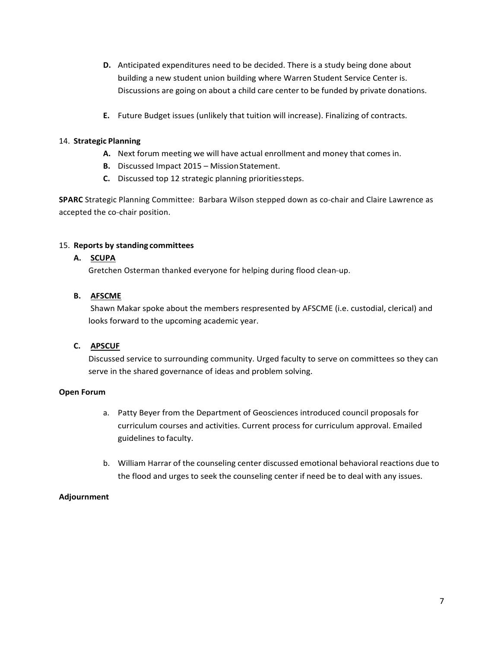- **D.** Anticipated expenditures need to be decided. There is a study being done about building a new student union building where Warren Student Service Center is. Discussions are going on about a child care center to be funded by private donations.
- **E.** Future Budget issues (unlikely that tuition will increase). Finalizing of contracts.

# 14. **Strategic Planning**

- **A.** Next forum meeting we will have actual enrollment and money that comes in.
- **B.** Discussed Impact 2015 Mission Statement.
- **C.** Discussed top 12 strategic planning prioritiessteps.

SPARC Strategic Planning Committee: Barbara Wilson stepped down as co-chair and Claire Lawrence as accepted the co-chair position.

# 15. **Reports by standing committees**

# **A. SCUPA**

Gretchen Osterman thanked everyone for helping during flood clean-up.

# **B. AFSCME**

Shawn Makar spoke about the members respresented by AFSCME (i.e. custodial, clerical) and looks forward to the upcoming academic year.

# **C. APSCUF**

Discussed service to surrounding community. Urged faculty to serve on committees so they can serve in the shared governance of ideas and problem solving.

# **Open Forum**

- a. Patty Beyer from the Department of Geosciences introduced council proposals for curriculum courses and activities. Current process for curriculum approval. Emailed guidelines to faculty.
- b. William Harrar of the counseling center discussed emotional behavioral reactions due to the flood and urges to seek the counseling center if need be to deal with any issues.

# **Adjournment**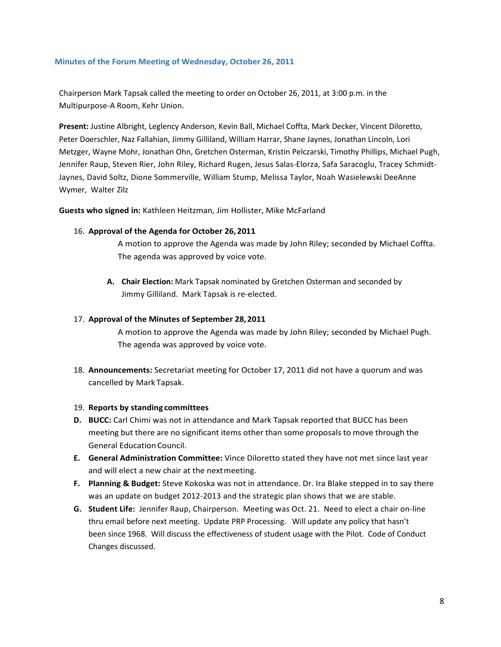#### <span id="page-7-0"></span>**Minutes of the Forum Meeting of Wednesday, October 26, 2011**

Chairperson Mark Tapsak called the meeting to order on October 26, 2011, at 3:00 p.m. in the Multipurpose-A Room, Kehr Union.

**Present:** Justine Albright, Leglency Anderson, Kevin Ball, Michael Coffta, Mark Decker, Vincent Diloretto, Peter Doerschler, Naz Fallahian, Jimmy Gilliland, William Harrar, Shane Jaynes, Jonathan Lincoln, Lori Metzger, Wayne Mohr, Jonathan Ohn, Gretchen Osterman, Kristin Pelczarski, Timothy Phillips, Michael Pugh, Jennifer Raup, Steven Rier, John Riley, Richard Rugen, Jesus Salas-Elorza, Safa Saracoglu, Tracey Schmidt--Jaynes, David Soltz, Dione Sommerville, William Stump, Melissa Taylor, Noah Wasielewski DeeAnne Wymer, Walter Zilz

**Guests who signed in:** Kathleen Heitzman, Jim Hollister, Mike McFarland

#### 16. **Approval of the Agenda for October 26,2011**

A motion to approve the Agenda was made by John Riley; seconded by Michael Coffta. The agenda was approved by voice vote.

**A. Chair Election:** Mark Tapsak nominated by Gretchen Osterman and seconded by Jimmy Gilliland. Mark Tapsak is re-elected.

#### 17. **Approval of the Minutes of September 28,2011**

A motion to approve the Agenda was made by John Riley; seconded by Michael Pugh. The agenda was approved by voice vote.

18. **Announcements:** Secretariat meeting for October 17, 2011 did not have a quorum and was cancelled by Mark Tapsak.

#### 19. **Reports by standing committees**

- **D. BUCC:** Carl Chimi was not in attendance and Mark Tapsak reported that BUCC has been meeting but there are no significant items other than some proposals to move through the General Education Council.
- **E. General Administration Committee:** Vince Diloretto stated they have not met since last year and will elect a new chair at the nextmeeting.
- **F. Planning & Budget:** Steve Kokoska was not in attendance. Dr. Ira Blake stepped in to say there was an update on budget 2012-2013 and the strategic plan shows that we are stable.
- **G. Student Life:** Jennifer Raup, Chairperson. Meeting was Oct. 21. Need to elect a chair on-line thru email before next meeting. Update PRP Processing. Will update any policy that hasn't been since 1968. Will discuss the effectiveness of student usage with the Pilot. Code of Conduct Changes discussed.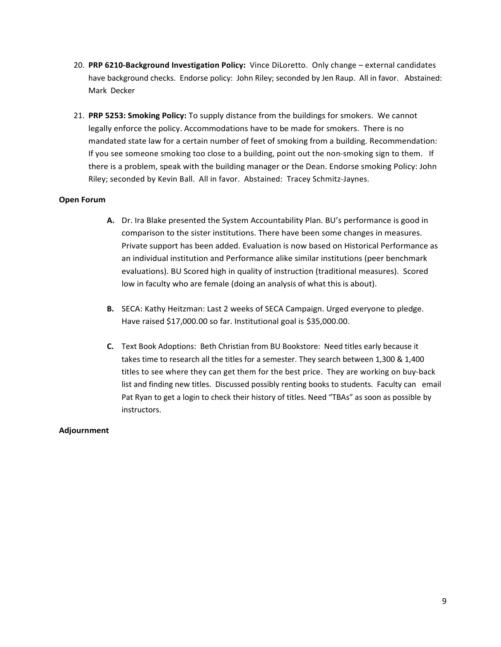- 20. PRP 6210-Background Investigation Policy: Vince DiLoretto. Only change external candidates have background checks. Endorse policy: John Riley; seconded by Jen Raup. All in favor. Abstained: Mark Decker
- 21. **PRP 5253: Smoking Policy:** To supply distance from the buildings for smokers. We cannot legally enforce the policy. Accommodations have to be made for smokers. There is no mandated state law for a certain number of feet of smoking from a building. Recommendation: If you see someone smoking too close to a building, point out the non-smoking sign to them. If there is a problem, speak with the building manager or the Dean. Endorse smoking Policy: John Riley; seconded by Kevin Ball. All in favor. Abstained: Tracey Schmitz-Jaynes.

# **Open Forum**

- **A.** Dr. Ira Blake presented the System Accountability Plan. BU's performance is good in comparison to the sister institutions. There have been some changes in measures. Private support has been added. Evaluation is now based on Historical Performance as an individual institution and Performance alike similar institutions (peer benchmark evaluations). BU Scored high in quality of instruction (traditional measures). Scored low in faculty who are female (doing an analysis of what this is about).
- **B.** SECA: Kathy Heitzman: Last 2 weeks of SECA Campaign. Urged everyone to pledge. Have raised \$17,000.00 so far. Institutional goal is \$35,000.00.
- **C.** Text Book Adoptions: Beth Christian from BU Bookstore: Need titles early because it takes time to research all the titles for a semester. They search between 1,300 & 1,400 titles to see where they can get them for the best price. They are working on buy-back list and finding new titles. Discussed possibly renting books to students. Faculty can email Pat Ryan to get a login to check their history of titles. Need "TBAs" as soon as possible by instructors.

# **Adjournment**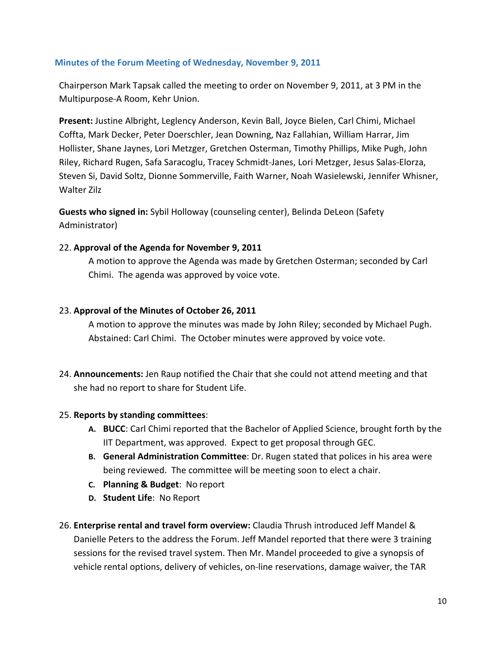# <span id="page-9-0"></span>**Minutes of the Forum Meeting of Wednesday, November 9, 2011**

Chairperson Mark Tapsak called the meeting to order on November 9, 2011, at 3 PM in the Multipurpose-A Room, Kehr Union.

**Present:** Justine Albright, Leglency Anderson, Kevin Ball, Joyce Bielen, Carl Chimi, Michael Coffta, Mark Decker, Peter Doerschler, Jean Downing, Naz Fallahian, William Harrar, Jim Hollister, Shane Jaynes, Lori Metzger, Gretchen Osterman, Timothy Phillips, Mike Pugh, John Riley, Richard Rugen, Safa Saracoglu, Tracey Schmidt-Janes, Lori Metzger, Jesus Salas-Elorza, Steven Si, David Soltz, Dionne Sommerville, Faith Warner, Noah Wasielewski, Jennifer Whisner, Walter Zilz

**Guests who signed in:** Sybil Holloway (counseling center), Belinda DeLeon (Safety Administrator)

# 22. **Approval of the Agenda for November 9, 2011**

A motion to approve the Agenda was made by Gretchen Osterman; seconded by Carl Chimi. The agenda was approved by voice vote.

# 23. **Approval of the Minutes of October 26, 2011**

A motion to approve the minutes was made by John Riley; seconded by Michael Pugh. Abstained: Carl Chimi. The October minutes were approved by voice vote.

24. **Announcements:** Jen Raup notified the Chair that she could not attend meeting and that she had no report to share for Student Life.

# 25. **Reports by standing committees**:

- **A. BUCC**: Carl Chimi reported that the Bachelor of Applied Science, brought forth by the IIT Department, was approved. Expect to get proposal through GEC.
- **B. General Administration Committee**: Dr. Rugen stated that polices in his area were being reviewed. The committee will be meeting soon to elect a chair.
- **C. Planning & Budget**: No report
- **D. Student Life**: No Report
- 26. **Enterprise rental and travel form overview:** Claudia Thrush introduced Jeff Mandel & Danielle Peters to the address the Forum. Jeff Mandel reported that there were 3 training sessions for the revised travel system. Then Mr. Mandel proceeded to give a synopsis of vehicle rental options, delivery of vehicles, on-line reservations, damage waiver, the TAR